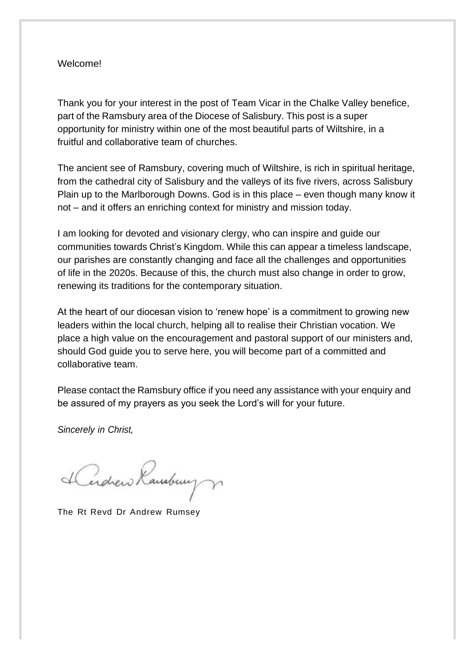#### Welcome!

Thank you for your interest in the post of Team Vicar in the Chalke Valley benefice, part of the Ramsbury area of the Diocese of Salisbury. This post is a super opportunity for ministry within one of the most beautiful parts of Wiltshire, in a fruitful and collaborative team of churches.

The ancient see of Ramsbury, covering much of Wiltshire, is rich in spiritual heritage, from the cathedral city of Salisbury and the valleys of its five rivers, across Salisbury Plain up to the Marlborough Downs. God is in this place – even though many know it not – and it offers an enriching context for ministry and mission today.

I am looking for devoted and visionary clergy, who can inspire and guide our communities towards Christ's Kingdom. While this can appear a timeless landscape, our parishes are constantly changing and face all the challenges and opportunities of life in the 2020s. Because of this, the church must also change in order to grow, renewing its traditions for the contemporary situation.

At the heart of our diocesan vision to 'renew hope' is a commitment to growing new leaders within the local church, helping all to realise their Christian vocation. We place a high value on the encouragement and pastoral support of our ministers and, should God guide you to serve here, you will become part of a committed and collaborative team.

Please contact the Ramsbury office if you need any assistance with your enquiry and be assured of my prayers as you seek the Lord's will for your future.

*Sincerely in Christ,*

Lerdrew Rambury

The Rt Revd Dr Andrew Rumsey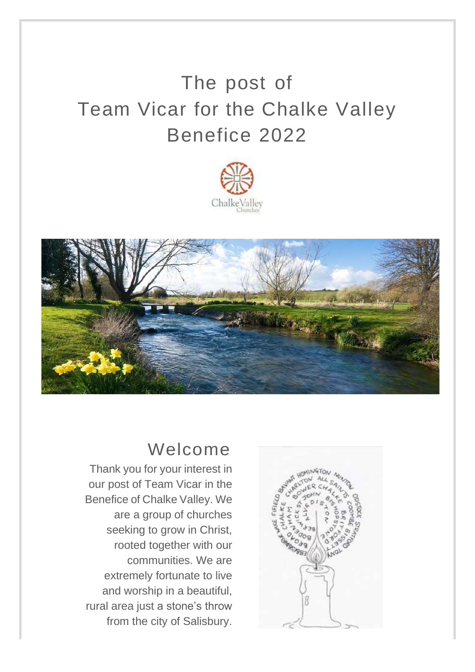# The post of Team Vicar for the Chalke Valley Benefice 2022





## Welcome

Thank you for your interest in our post of Team Vicar in the Benefice of Chalke Valley. We are a group of churches seeking to grow in Christ, rooted together with our communities. We are extremely fortunate to live and worship in a beautiful, rural area just a stone's throw from the city of Salisbury.

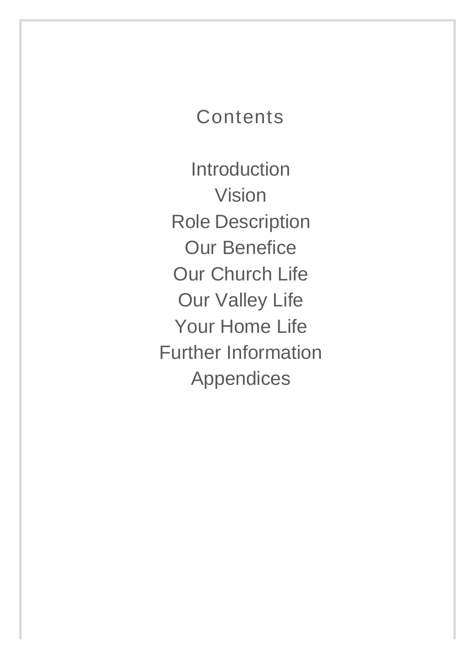## **Contents**

**Introduction** Vision Role Description Our Benefice Our Church Life Our Valley Life Your Home Life Further Information Appendices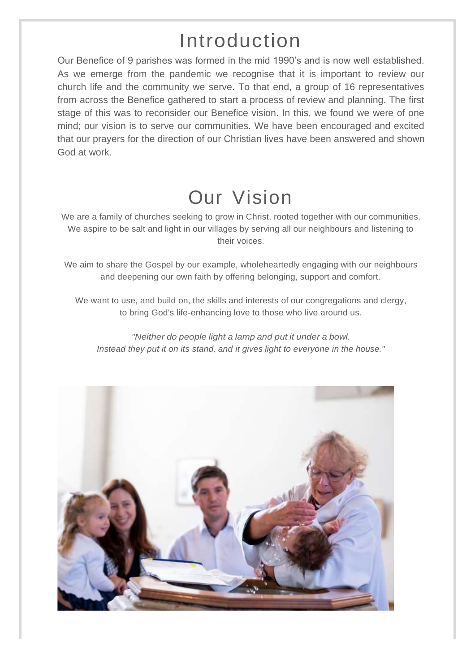# Introduction

Our Benefice of 9 parishes was formed in the mid 1990's and is now well established. As we emerge from the pandemic we recognise that it is important to review our church life and the community we serve. To that end, a group of 16 representatives from across the Benefice gathered to start a process of review and planning. The first stage of this was to reconsider our Benefice vision. In this, we found we were of one mind; our vision is to serve our communities. We have been encouraged and excited that our prayers for the direction of our Christian lives have been answered and shown God at work.

# Our Vision

We are a family of churches seeking to grow in Christ, rooted together with our communities. We aspire to be salt and light in our villages by serving all our neighbours and listening to their voices.

We aim to share the Gospel by our example, wholeheartedly engaging with our neighbours and deepening our own faith by offering belonging, support and comfort.

We want to use, and build on, the skills and interests of our congregations and clergy, to bring God's life-enhancing love to those who live around us.

*"Neither do people light a lamp and put it under a bowl. Instead they put it on its stand, and it gives light to everyone in the house."*

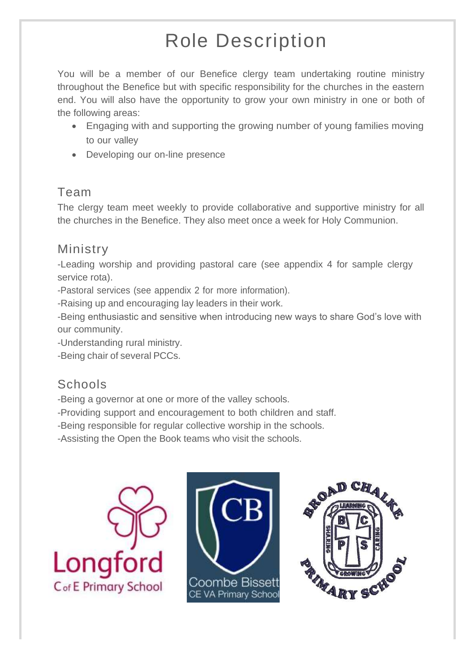# Role Description

You will be a member of our Benefice clergy team undertaking routine ministry throughout the Benefice but with specific responsibility for the churches in the eastern end. You will also have the opportunity to grow your own ministry in one or both of the following areas:

- Engaging with and supporting the growing number of young families moving to our valley
- Developing our on-line presence

### Team

The clergy team meet weekly to provide collaborative and supportive ministry for all the churches in the Benefice. They also meet once a week for Holy Communion.

## Ministry

-Leading worship and providing pastoral care (see appendix 4 for sample clergy service rota).

-Pastoral services (see appendix 2 for more information).

-Raising up and encouraging lay leaders in their work.

-Being enthusiastic and sensitive when introducing new ways to share God's love with our community.

-Understanding rural ministry.

-Being chair of several PCCs.

## **Schools**

-Being a governor at one or more of the valley schools.

- -Providing support and encouragement to both children and staff.
- -Being responsible for regular collective worship in the schools.

-Assisting the Open the Book teams who visit the schools.





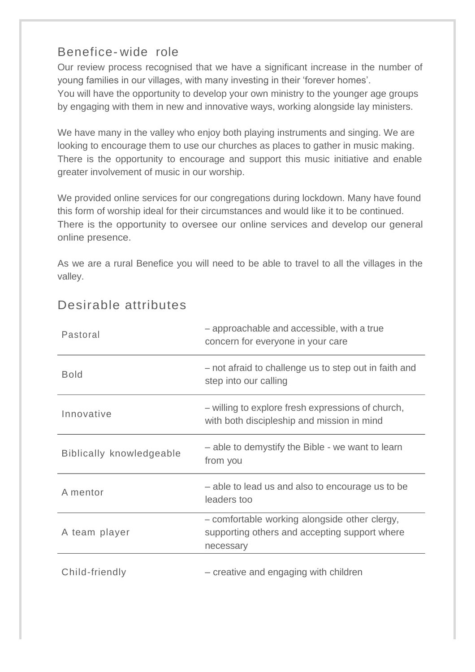### Benefice- wide role

Our review process recognised that we have a significant increase in the number of young families in our villages, with many investing in their 'forever homes'. You will have the opportunity to develop your own ministry to the younger age groups by engaging with them in new and innovative ways, working alongside lay ministers.

We have many in the valley who enjoy both playing instruments and singing. We are looking to encourage them to use our churches as places to gather in music making. There is the opportunity to encourage and support this music initiative and enable greater involvement of music in our worship.

We provided online services for our congregations during lockdown. Many have found this form of worship ideal for their circumstances and would like it to be continued. There is the opportunity to oversee our online services and develop our general online presence.

As we are a rural Benefice you will need to be able to travel to all the villages in the valley.

| Pastoral                        | - approachable and accessible, with a true<br>concern for everyone in your care                             |  |  |
|---------------------------------|-------------------------------------------------------------------------------------------------------------|--|--|
| <b>Bold</b>                     | - not afraid to challenge us to step out in faith and<br>step into our calling                              |  |  |
| Innovative                      | - willing to explore fresh expressions of church,<br>with both discipleship and mission in mind             |  |  |
| <b>Biblically knowledgeable</b> | - able to demystify the Bible - we want to learn<br>from you                                                |  |  |
| A mentor                        | - able to lead us and also to encourage us to be<br>leaders too                                             |  |  |
| A team player                   | - comfortable working alongside other clergy,<br>supporting others and accepting support where<br>necessary |  |  |
| Child-friendly                  | - creative and engaging with children                                                                       |  |  |

### Desirable attributes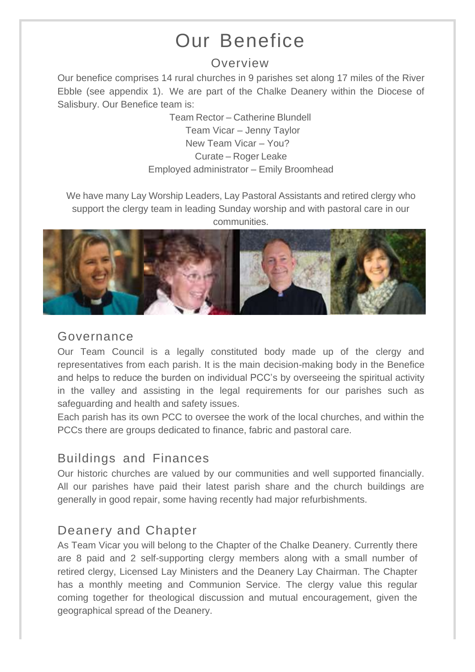# Our Benefice

### Overview

Our benefice comprises 14 rural churches in 9 parishes set along 17 miles of the River Ebble (see appendix 1). We are part of the Chalke Deanery within the Diocese of Salisbury. Our Benefice team is:

> Team Rector – Catherine Blundell Team Vicar – Jenny Taylor New Team Vicar – You? Curate – Roger Leake Employed administrator – Emily Broomhead

We have many Lay Worship Leaders, Lay Pastoral Assistants and retired clergy who support the clergy team in leading Sunday worship and with pastoral care in our communities.



### Governance

Our Team Council is a legally constituted body made up of the clergy and representatives from each parish. It is the main decision-making body in the Benefice and helps to reduce the burden on individual PCC's by overseeing the spiritual activity in the valley and assisting in the legal requirements for our parishes such as safeguarding and health and safety issues.

Each parish has its own PCC to oversee the work of the local churches, and within the PCCs there are groups dedicated to finance, fabric and pastoral care.

### Buildings and Finances

Our historic churches are valued by our communities and well supported financially. All our parishes have paid their latest parish share and the church buildings are generally in good repair, some having recently had major refurbishments.

## Deanery and Chapter

As Team Vicar you will belong to the Chapter of the Chalke Deanery. Currently there are 8 paid and 2 self-supporting clergy members along with a small number of retired clergy, Licensed Lay Ministers and the Deanery Lay Chairman. The Chapter has a monthly meeting and Communion Service. The clergy value this regular coming together for theological discussion and mutual encouragement, given the geographical spread of the Deanery.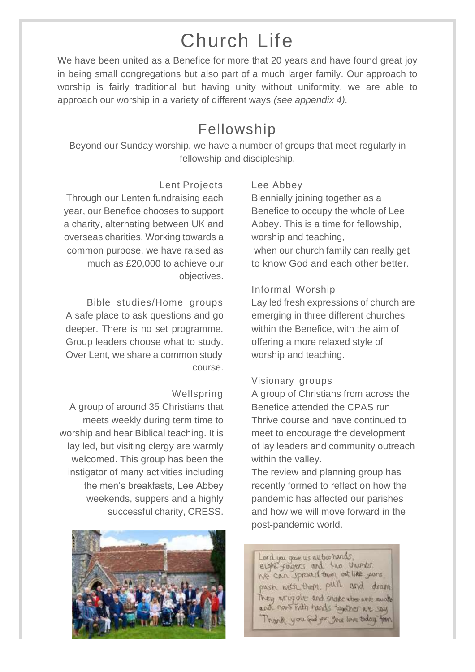# Church Life

We have been united as a Benefice for more that 20 years and have found great joy in being small congregations but also part of a much larger family. Our approach to worship is fairly traditional but having unity without uniformity, we are able to approach our worship in a variety of different ways *(see appendix 4).*

## Fellowship

Beyond our Sunday worship, we have a number of groups that meet regularly in fellowship and discipleship.

#### Lent Projects

Through our Lenten fundraising each year, our Benefice chooses to support a charity, alternating between UK and overseas charities. Working towards a common purpose, we have raised as much as £20,000 to achieve our objectives.

Bible studies/Home groups A safe place to ask questions and go deeper. There is no set programme. Group leaders choose what to study. Over Lent, we share a common study course.

#### Wellspring

A group of around 35 Christians that meets weekly during term time to worship and hear Biblical teaching. It is lay led, but visiting clergy are warmly welcomed. This group has been the instigator of many activities including the men's breakfasts, Lee Abbey weekends, suppers and a highly successful charity, CRESS.



#### Lee Abbey

Biennially joining together as a Benefice to occupy the whole of Lee Abbey. This is a time for fellowship, worship and teaching, when our church family can really get

to know God and each other better.

#### Informal Worship

Lay led fresh expressions of church are emerging in three different churches within the Benefice, with the aim of offering a more relaxed style of worship and teaching.

#### Visionary groups

A group of Christians from across the Benefice attended the CPAS run Thrive course and have continued to meet to encourage the development of lay leaders and community outreach within the valley.

The review and planning group has recently formed to reflect on how the pandemic has affected our parishes and how we will move forward in the post-pandemic world.

Lord you gave us all two hands, eight fingers and two thumbs. We can spread them out like your. push with them, pull and dram They wriggle and shake the art mude and now mith hands together we say Thank you god for your love today from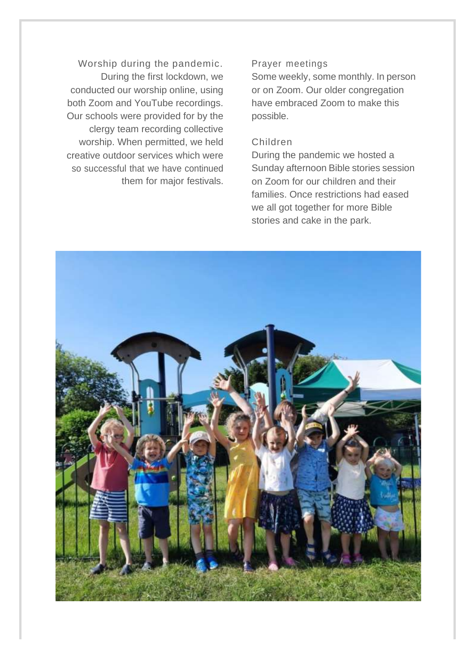Worship during the pandemic. During the first lockdown, we conducted our worship online, using both Zoom and YouTube recordings. Our schools were provided for by the clergy team recording collective worship. When permitted, we held creative outdoor services which were so successful that we have continued them for major festivals.

#### Prayer meetings

Some weekly, some monthly. In person or on Zoom. Our older congregation have embraced Zoom to make this possible.

#### Children

During the pandemic we hosted a Sunday afternoon Bible stories session on Zoom for our children and their families. Once restrictions had eased we all got together for more Bible stories and cake in the park.

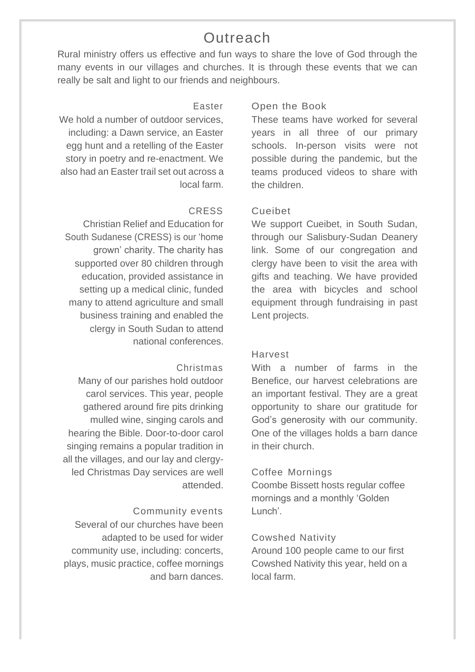### **Outreach**

Rural ministry offers us effective and fun ways to share the love of God through the many events in our villages and churches. It is through these events that we can really be salt and light to our friends and neighbours.

#### Easter

We hold a number of outdoor services. including: a Dawn service, an Easter egg hunt and a retelling of the Easter story in poetry and re-enactment. We also had an Easter trail set out across a local farm.

#### CRESS

Christian Relief and Education for South Sudanese (CRESS) is our 'home grown' charity. The charity has supported over 80 children through education, provided assistance in setting up a medical clinic, funded many to attend agriculture and small business training and enabled the clergy in South Sudan to attend national conferences.

#### Christmas

Many of our parishes hold outdoor carol services. This year, people gathered around fire pits drinking mulled wine, singing carols and hearing the Bible. Door-to-door carol singing remains a popular tradition in all the villages, and our lay and clergyled Christmas Day services are well attended.

#### Community events

Several of our churches have been adapted to be used for wider community use, including: concerts, plays, music practice, coffee mornings and barn dances.

#### Open the Book

These teams have worked for several years in all three of our primary schools. In-person visits were not possible during the pandemic, but the teams produced videos to share with the children.

#### Cueibet

We support Cueibet, in South Sudan, through our Salisbury-Sudan Deanery link. Some of our congregation and clergy have been to visit the area with gifts and teaching. We have provided the area with bicycles and school equipment through fundraising in past Lent projects.

#### Harvest

With a number of farms in the Benefice, our harvest celebrations are an important festival. They are a great opportunity to share our gratitude for God's generosity with our community. One of the villages holds a barn dance in their church.

#### Coffee Mornings

Coombe Bissett hosts regular coffee mornings and a monthly 'Golden Lunch'.

#### Cowshed Nativity

Around 100 people came to our first Cowshed Nativity this year, held on a local farm.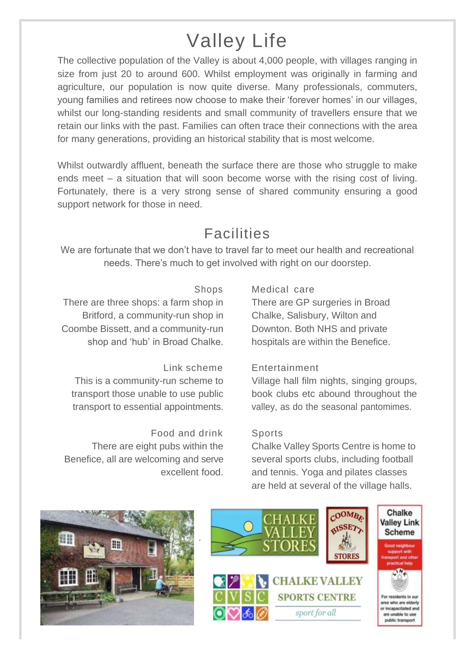# Valley Life

The collective population of the Valley is about 4,000 people, with villages ranging in size from just 20 to around 600. Whilst employment was originally in farming and agriculture, our population is now quite diverse. Many professionals, commuters, young families and retirees now choose to make their 'forever homes' in our villages, whilst our long-standing residents and small community of travellers ensure that we retain our links with the past. Families can often trace their connections with the area for many generations, providing an historical stability that is most welcome.

Whilst outwardly affluent, beneath the surface there are those who struggle to make ends meet – a situation that will soon become worse with the rising cost of living. Fortunately, there is a very strong sense of shared community ensuring a good support network for those in need.

## Facilities

We are fortunate that we don't have to travel far to meet our health and recreational needs. There's much to get involved with right on our doorstep.

#### Shops

There are three shops: a farm shop in Britford, a community-run shop in Coombe Bissett, and a community-run shop and 'hub' in Broad Chalke.

## Link scheme

This is a community-run scheme to transport those unable to use public transport to essential appointments.

#### Food and drink There are eight pubs within the Benefice, all are welcoming and serve excellent food.

#### Medical care

There are GP surgeries in Broad Chalke, Salisbury, Wilton and Downton. Both NHS and private hospitals are within the Benefice.

#### Entertainment

Village hall film nights, singing groups, book clubs etc abound throughout the valley, as do the seasonal pantomimes.

#### Sports

Chalke Valley Sports Centre is home to several sports clubs, including football and tennis. Yoga and pilates classes are held at several of the village halls.



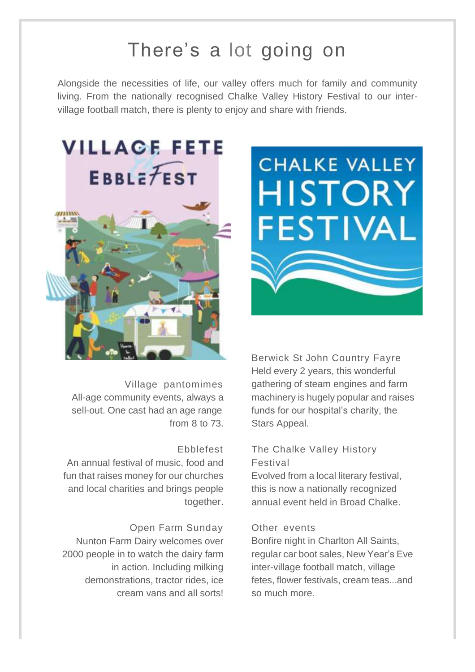## There's a lot going on

Alongside the necessities of life, our valley offers much for family and community living. From the nationally recognised Chalke Valley History Festival to our intervillage football match, there is plenty to enjoy and share with friends.



Village pantomimes All-age community events, always a sell-out. One cast had an age range from 8 to 73.

#### Ebblefest

An annual festival of music, food and fun that raises money for our churches and local charities and brings people together.

#### Open Farm Sunday

Nunton Farm Dairy welcomes over 2000 people in to watch the dairy farm in action. Including milking demonstrations, tractor rides, ice cream vans and all sorts!



Berwick St John Country Fayre Held every 2 years, this wonderful gathering of steam engines and farm machinery is hugely popular and raises funds for our hospital's charity, the Stars Appeal.

#### The Chalke Valley History Festival

Evolved from a local literary festival, this is now a nationally recognized annual event held in Broad Chalke.

#### Other events

Bonfire night in Charlton All Saints, regular car boot sales, New Year's Eve inter-village football match, village fetes, flower festivals, cream teas...and so much more.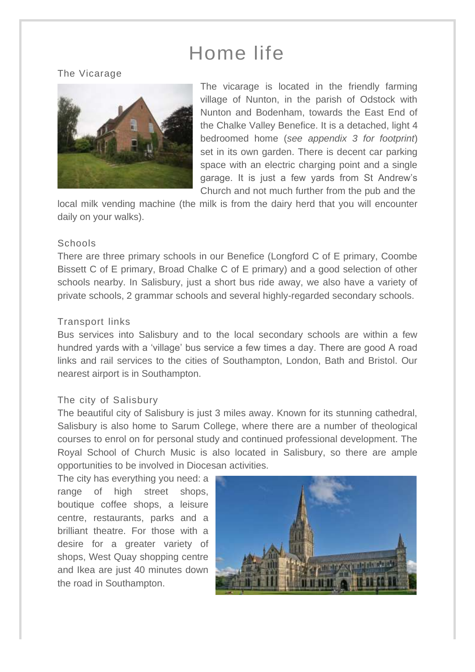# Home life

The Vicarage



The vicarage is located in the friendly farming village of Nunton, in the parish of Odstock with Nunton and Bodenham, towards the East End of the Chalke Valley Benefice. It is a detached, light 4 bedroomed home (*see appendix 3 for footprint*) set in its own garden. There is decent car parking space with an electric charging point and a single garage. It is just a few yards from St Andrew's Church and not much further from the pub and the

local milk vending machine (the milk is from the dairy herd that you will encounter daily on your walks).

#### Schools

There are three primary schools in our Benefice (Longford C of E primary, Coombe Bissett C of E primary, Broad Chalke C of E primary) and a good selection of other schools nearby. In Salisbury, just a short bus ride away, we also have a variety of private schools, 2 grammar schools and several highly-regarded secondary schools.

#### Transport links

Bus services into Salisbury and to the local secondary schools are within a few hundred yards with a 'village' bus service a few times a day. There are good A road links and rail services to the cities of Southampton, London, Bath and Bristol. Our nearest airport is in Southampton.

#### The city of Salisbury

The beautiful city of Salisbury is just 3 miles away. Known for its stunning cathedral, Salisbury is also home to Sarum College, where there are a number of theological courses to enrol on for personal study and continued professional development. The Royal School of Church Music is also located in Salisbury, so there are ample opportunities to be involved in Diocesan activities.

The city has everything you need: a range of high street shops, boutique coffee shops, a leisure centre, restaurants, parks and a brilliant theatre. For those with a desire for a greater variety of shops, West Quay shopping centre and Ikea are just 40 minutes down the road in Southampton.

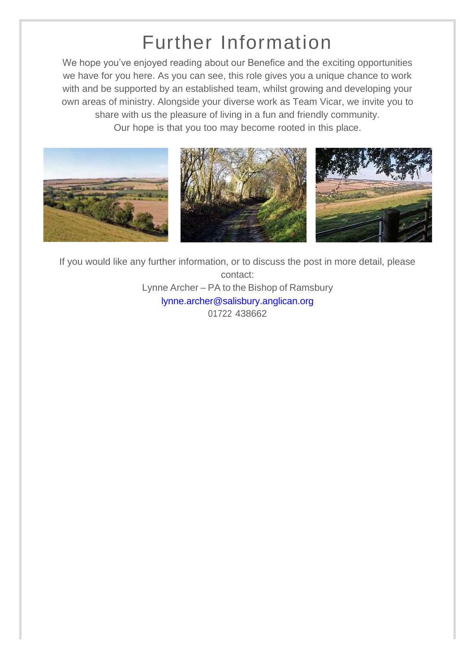# Further Information

We hope you've enjoyed reading about our Benefice and the exciting opportunities we have for you here. As you can see, this role gives you a unique chance to work with and be supported by an established team, whilst growing and developing your own areas of ministry. Alongside your diverse work as Team Vicar, we invite you to share with us the pleasure of living in a fun and friendly community. Our hope is that you too may become rooted in this place.



If you would like any further information, or to discuss the post in more detail, please contact: Lynne Archer – PA to the Bishop of Ramsbury [lynne.archer@salisbury.anglican.org](mailto:lynne.archer@salisbury.anglican.org) 01722 438662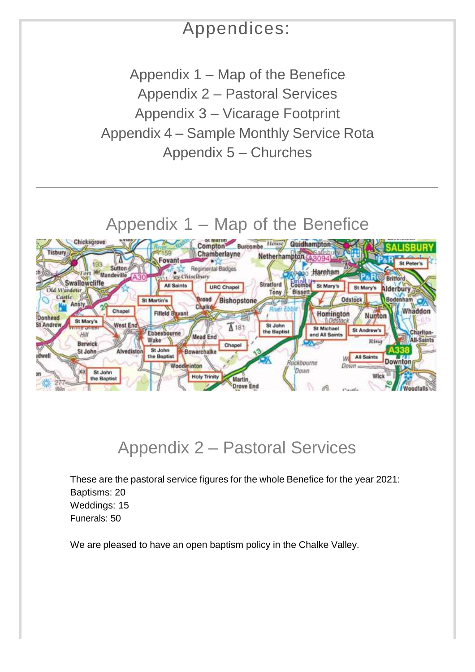## Appendices:

Appendix 1 – Map of the Benefice Appendix 2 – Pastoral Services Appendix 3 – Vicarage Footprint Appendix 4 – Sample Monthly Service Rota Appendix 5 – Churches

## Appendix 1 – Map of the Benefice



## Appendix 2 – Pastoral Services

These are the pastoral service figures for the whole Benefice for the year 2021: Baptisms: 20 Weddings: 15 Funerals: 50

We are pleased to have an open baptism policy in the Chalke Valley.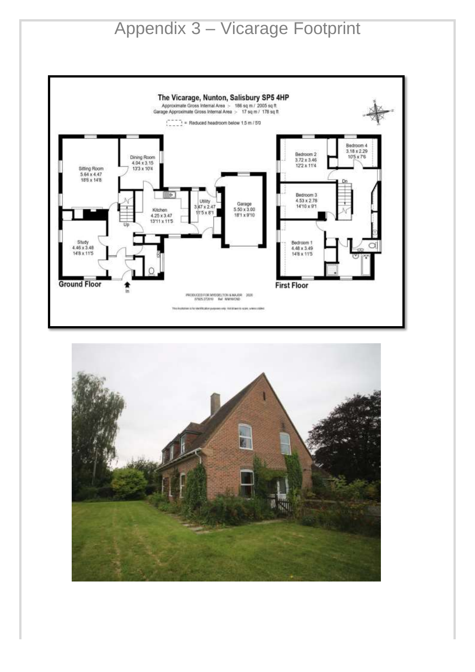# Appendix 3 – Vicarage Footprint



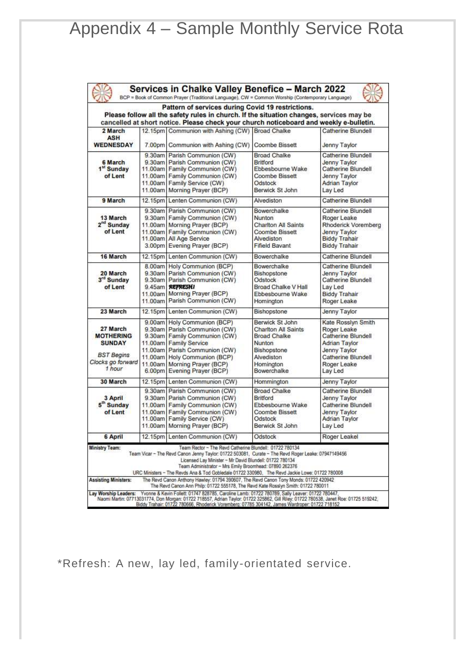# Appendix 4 – Sample Monthly Service Rota

| Services in Chalke Valley Benefice - March 2022<br>BCP = Book of Common Prayer (Traditional Language), CW = Common Worship (Contemporary Language)                                                                                                                                                                                                                                                                                                                                                                                                                                                                        |  |                                                                                                                                                                                                                                                       |                                                                                                                                         |                                                                                                                                                        |  |
|---------------------------------------------------------------------------------------------------------------------------------------------------------------------------------------------------------------------------------------------------------------------------------------------------------------------------------------------------------------------------------------------------------------------------------------------------------------------------------------------------------------------------------------------------------------------------------------------------------------------------|--|-------------------------------------------------------------------------------------------------------------------------------------------------------------------------------------------------------------------------------------------------------|-----------------------------------------------------------------------------------------------------------------------------------------|--------------------------------------------------------------------------------------------------------------------------------------------------------|--|
| Pattern of services during Covid 19 restrictions.<br>Please follow all the safety rules in church. If the situation changes, services may be<br>cancelled at short notice. Please check your church noticeboard and weekly e-bulletin.                                                                                                                                                                                                                                                                                                                                                                                    |  |                                                                                                                                                                                                                                                       |                                                                                                                                         |                                                                                                                                                        |  |
| 2 March<br><b>ASH</b>                                                                                                                                                                                                                                                                                                                                                                                                                                                                                                                                                                                                     |  | 12.15pm Communion with Ashing (CW) Broad Chalke                                                                                                                                                                                                       |                                                                                                                                         | Catherine Blundell                                                                                                                                     |  |
| <b>WEDNESDAY</b>                                                                                                                                                                                                                                                                                                                                                                                                                                                                                                                                                                                                          |  | 7.00pm Communion with Ashing (CW)                                                                                                                                                                                                                     | Coombe Bissett                                                                                                                          | Jenny Taylor                                                                                                                                           |  |
| 6 March<br>1 <sup>st</sup> Sunday<br>of Lent                                                                                                                                                                                                                                                                                                                                                                                                                                                                                                                                                                              |  | 9.30am Parish Communion (CW)<br>9.30am Parish Communion (CW)<br>11,00am Family Communion (CW)<br>11.00am Family Communion (CW)<br>11.00am   Family Service (CW)<br>11.00am Morning Prayer (BCP)                                                       | <b>Broad Chalke</b><br><b>Britford</b><br><b>Ebbesbourne Wake</b><br>Coombe Bissett<br>Odstock<br>Berwick St John                       | Catherine Blundell<br>Jenny Taylor<br>Catherine Blundell<br>Jenny Taylor<br><b>Adrian Taylor</b><br>Lay Led                                            |  |
| 9 March                                                                                                                                                                                                                                                                                                                                                                                                                                                                                                                                                                                                                   |  | 12.15pm Lenten Communion (CW)                                                                                                                                                                                                                         | Alvediston                                                                                                                              | Catherine Blundell                                                                                                                                     |  |
| 13 March<br>2 <sup>nd</sup> Sunday<br>of Lent                                                                                                                                                                                                                                                                                                                                                                                                                                                                                                                                                                             |  | 9.30am Parish Communion (CW)<br>9.30am Family Communion (CW)<br>11.00am Morning Prayer (BCP)<br>11.00am Family Communion (CW)<br>11.00am All Age Service<br>3.00pm Evening Prayer (BCP)                                                               | Bowerchalke<br>Nunton<br><b>Charlton All Saints</b><br><b>Coombe Bissett</b><br>Alvediston<br><b>Fifield Bavant</b>                     | Catherine Blundell<br>Roger Leake<br>Rhoderick Voremberg<br>Jenny Taylor<br><b>Biddy Trahair</b><br><b>Biddy Trahair</b>                               |  |
| 16 March                                                                                                                                                                                                                                                                                                                                                                                                                                                                                                                                                                                                                  |  | 12.15pm Lenten Communion (CW)                                                                                                                                                                                                                         | Bowerchalke                                                                                                                             | Catherine Blundell                                                                                                                                     |  |
| 20 March<br>3rd Sunday<br>of Lent                                                                                                                                                                                                                                                                                                                                                                                                                                                                                                                                                                                         |  | 8.00am Holy Communion (BCP)<br>9.30am Parish Communion (CW)<br>9.30am Parish Communion (CW)<br>9.45am REFRESHI<br>11,00am Morning Prayer (BCP)<br>11.00am Parish Communion (CW)                                                                       | Bowerchalke<br><b>Bishopstone</b><br>Odstock<br>Broad Chalke V Hall<br>Ebbesbourne Wake<br>Homington                                    | Catherine Blundell<br>Jenny Taylor<br>Catherine Blundell<br>Lav Led<br><b>Biddy Trahair</b><br>Roger Leake                                             |  |
| 23 March                                                                                                                                                                                                                                                                                                                                                                                                                                                                                                                                                                                                                  |  | 12.15pm Lenten Communion (CW)                                                                                                                                                                                                                         | Bishopstone                                                                                                                             | Jenny Taylor                                                                                                                                           |  |
| 27 March<br><b>MOTHERING</b><br><b>SUNDAY</b><br><b>BST Begins</b><br>Clocks go forward<br>1 hour                                                                                                                                                                                                                                                                                                                                                                                                                                                                                                                         |  | 9.00am Holy Communion (BCP)<br>9.30am Parish Communion (CW)<br>9.30am Family Communion (CW)<br>11.00am Family Service<br>11.00am Parish Communion (CW)<br>11.00am Holy Communion (BCP)<br>11.00am Morning Prayer (BCP)<br>6.00pm Evening Prayer (BCP) | Berwick St John<br><b>Charlton All Saints</b><br><b>Broad Chalke</b><br>Nunton<br>Bishopstone<br>Alvediston<br>Homington<br>Bowerchalke | Kate Rosslyn Smith<br>Roger Leake<br><b>Catherine Blundell</b><br><b>Adrian Taylor</b><br>Jenny Taylor<br>Catherine Blundell<br>Roger Leake<br>Lay Led |  |
| 30 March                                                                                                                                                                                                                                                                                                                                                                                                                                                                                                                                                                                                                  |  | 12.15pm Lenten Communion (CW)                                                                                                                                                                                                                         | Hommington                                                                                                                              | Jenny Taylor                                                                                                                                           |  |
| 3 April<br>5 <sup>th</sup> Sunday<br>of Lent                                                                                                                                                                                                                                                                                                                                                                                                                                                                                                                                                                              |  | 9.30am Parish Communion (CW)<br>9.30am Parish Communion (CW)<br>11.00am Family Communion (CW)<br>11.00am Family Communion (CW)<br>11.00am Family Service (CW)<br>11.00am Morning Prayer (BCP)                                                         | <b>Broad Chalke</b><br><b>Britford</b><br>Ebbesbourne Wake<br><b>Coombe Bissett</b><br>Odstock<br>Berwick St John                       | Catherine Blundell<br>Jenny Taylor<br>Catherine Blundell<br><b>Jenny Taylor</b><br><b>Adrian Taylor</b><br>Lay Led                                     |  |
| 6 April                                                                                                                                                                                                                                                                                                                                                                                                                                                                                                                                                                                                                   |  | 12.15pm Lenten Communion (CW)                                                                                                                                                                                                                         | Odstock                                                                                                                                 | Roger Leakel                                                                                                                                           |  |
| <b>Ministry Team:</b><br>Team Rector - The Revd Catherine Blundell: 01722 780134<br>Team Vicar - The Revd Canon Jenny Taylor: 01722 503081, Curate - The Revd Roger Leake: 07947149456<br>Licensed Lay Minister - Mr David Blundell: 01722 780134<br>Team Administrator - Mrs Emily Broomhead: 07890 262376<br>URC Ministers - The Revds Ana & Tod Gobledale 01722 330980, The Revd Jackie Lowe: 01722 780008<br>The Revd Canon Anthony Hawley: 01794 390607, The Revd Canon Tony Monds: 01722 420942<br><b>Assisting Ministers:</b><br>The Revd Canon Ann Philp: 01722 555178, The Revd Kate Rosslyn Smith: 01722 780011 |  |                                                                                                                                                                                                                                                       |                                                                                                                                         |                                                                                                                                                        |  |
| Yvonne & Kevin Follett: 01747 828785, Caroline Lamb: 01722 780789, Sally Leaver: 01722 780447,<br>Lay Worship Leaders:<br>Naomi Martin: 07713031774, Don Morgan: 01722 718557, Adrian Taylor: 01722 325862, Gill Riley: 01722 780538, Janet Roe: 01725 519242,<br>Biddy Trahair: 01722 780666, Rhoderick Voremberg: 07785 304142, James Wardroper: 01722 718152                                                                                                                                                                                                                                                           |  |                                                                                                                                                                                                                                                       |                                                                                                                                         |                                                                                                                                                        |  |

\*Refresh: A new, lay led, family-orientated service.